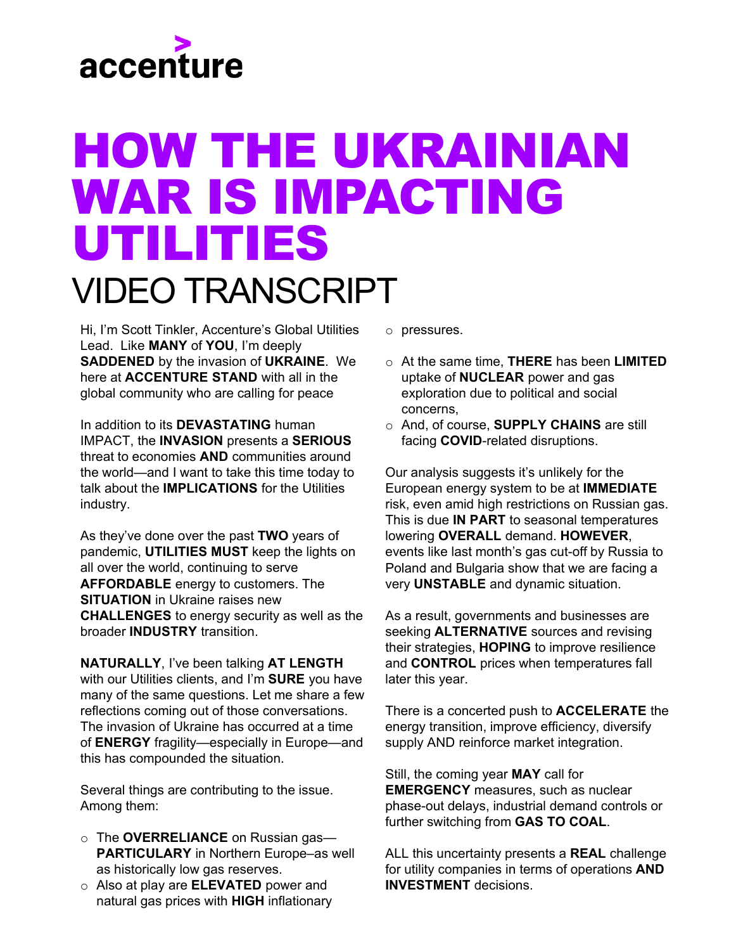## accenture

## HOW THE UKRAINIAN WAR IS IMPACTING UTILITIES VIDEO TRANSCRIPT

Hi, I'm Scott Tinkler, Accenture's Global Utilities Lead. Like **MANY** of **YOU**, I'm deeply **SADDENED** by the invasion of **UKRAINE**. We here at **ACCENTURE STAND** with all in the global community who are calling for peace

In addition to its **DEVASTATING** human IMPACT, the **INVASION** presents a **SERIOUS** threat to economies **AND** communities around the world—and I want to take this time today to talk about the **IMPLICATIONS** for the Utilities industry.

As they've done over the past **TWO** years of pandemic, **UTILITIES MUST** keep the lights on all over the world, continuing to serve **AFFORDABLE** energy to customers. The **SITUATION** in Ukraine raises new **CHALLENGES** to energy security as well as the broader **INDUSTRY** transition.

**NATURALLY**, I've been talking **AT LENGTH**  with our Utilities clients, and I'm **SURE** you have many of the same questions. Let me share a few reflections coming out of those conversations. The invasion of Ukraine has occurred at a time of **ENERGY** fragility—especially in Europe—and this has compounded the situation.

Several things are contributing to the issue. Among them:

- o The **OVERRELIANCE** on Russian gas— **PARTICULARY** in Northern Europe–as well as historically low gas reserves.
- o Also at play are **ELEVATED** power and natural gas prices with **HIGH** inflationary
- o pressures.
- o At the same time, **THERE** has been **LIMITED** uptake of **NUCLEAR** power and gas exploration due to political and social concerns,
- o And, of course, **SUPPLY CHAINS** are still facing **COVID**-related disruptions.

Our analysis suggests it's unlikely for the European energy system to be at **IMMEDIATE** risk, even amid high restrictions on Russian gas. This is due **IN PART** to seasonal temperatures lowering **OVERALL** demand. **HOWEVER**, events like last month's gas cut-off by Russia to Poland and Bulgaria show that we are facing a very **UNSTABLE** and dynamic situation.

As a result, governments and businesses are seeking **ALTERNATIVE** sources and revising their strategies, **HOPING** to improve resilience and **CONTROL** prices when temperatures fall later this year.

There is a concerted push to **ACCELERATE** the energy transition, improve efficiency, diversify supply AND reinforce market integration.

Still, the coming year **MAY** call for **EMERGENCY** measures, such as nuclear phase-out delays, industrial demand controls or further switching from **GAS TO COAL**.

ALL this uncertainty presents a **REAL** challenge for utility companies in terms of operations **AND INVESTMENT** decisions.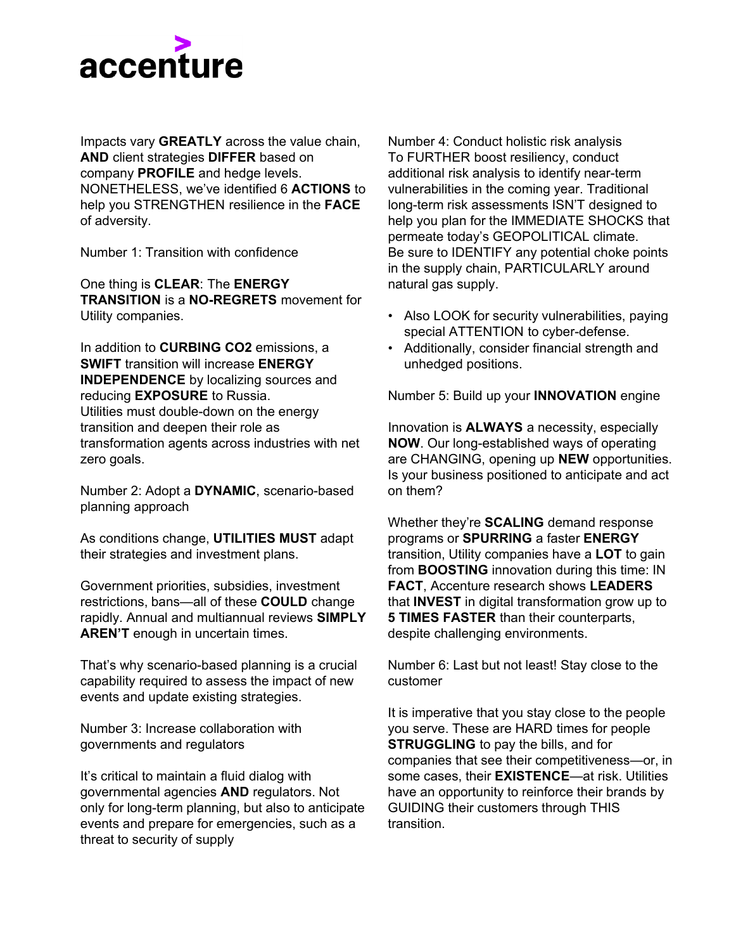

Impacts vary **GREATLY** across the value chain, **AND** client strategies **DIFFER** based on company **PROFILE** and hedge levels. NONETHELESS, we've identified 6 **ACTIONS** to help you STRENGTHEN resilience in the **FACE** of adversity.

Number 1: Transition with confidence

One thing is **CLEAR**: The **ENERGY TRANSITION** is a **NO-REGRETS** movement for Utility companies.

In addition to **CURBING CO2** emissions, a **SWIFT** transition will increase **ENERGY INDEPENDENCE** by localizing sources and reducing **EXPOSURE** to Russia. Utilities must double-down on the energy transition and deepen their role as transformation agents across industries with net zero goals.

Number 2: Adopt a **DYNAMIC**, scenario-based planning approach

As conditions change, **UTILITIES MUST** adapt their strategies and investment plans.

Government priorities, subsidies, investment restrictions, bans—all of these **COULD** change rapidly. Annual and multiannual reviews **SIMPLY AREN'T** enough in uncertain times.

That's why scenario-based planning is a crucial capability required to assess the impact of new events and update existing strategies.

Number 3: Increase collaboration with governments and regulators

It's critical to maintain a fluid dialog with governmental agencies **AND** regulators. Not only for long-term planning, but also to anticipate events and prepare for emergencies, such as a threat to security of supply

Number 4: Conduct holistic risk analysis To FURTHER boost resiliency, conduct additional risk analysis to identify near-term vulnerabilities in the coming year. Traditional long-term risk assessments ISN'T designed to help you plan for the IMMEDIATE SHOCKS that permeate today's GEOPOLITICAL climate. Be sure to IDENTIFY any potential choke points in the supply chain, PARTICULARLY around natural gas supply.

- Also LOOK for security vulnerabilities, paying special ATTENTION to cyber-defense.
- Additionally, consider financial strength and unhedged positions.

Number 5: Build up your **INNOVATION** engine

Innovation is **ALWAYS** a necessity, especially **NOW**. Our long-established ways of operating are CHANGING, opening up **NEW** opportunities. Is your business positioned to anticipate and act on them?

Whether they're **SCALING** demand response programs or **SPURRING** a faster **ENERGY** transition, Utility companies have a **LOT** to gain from **BOOSTING** innovation during this time: IN **FACT**, Accenture research shows **LEADERS** that **INVEST** in digital transformation grow up to **5 TIMES FASTER** than their counterparts, despite challenging environments.

Number 6: Last but not least! Stay close to the customer

It is imperative that you stay close to the people you serve. These are HARD times for people **STRUGGLING** to pay the bills, and for companies that see their competitiveness—or, in some cases, their **EXISTENCE**—at risk. Utilities have an opportunity to reinforce their brands by GUIDING their customers through THIS transition.